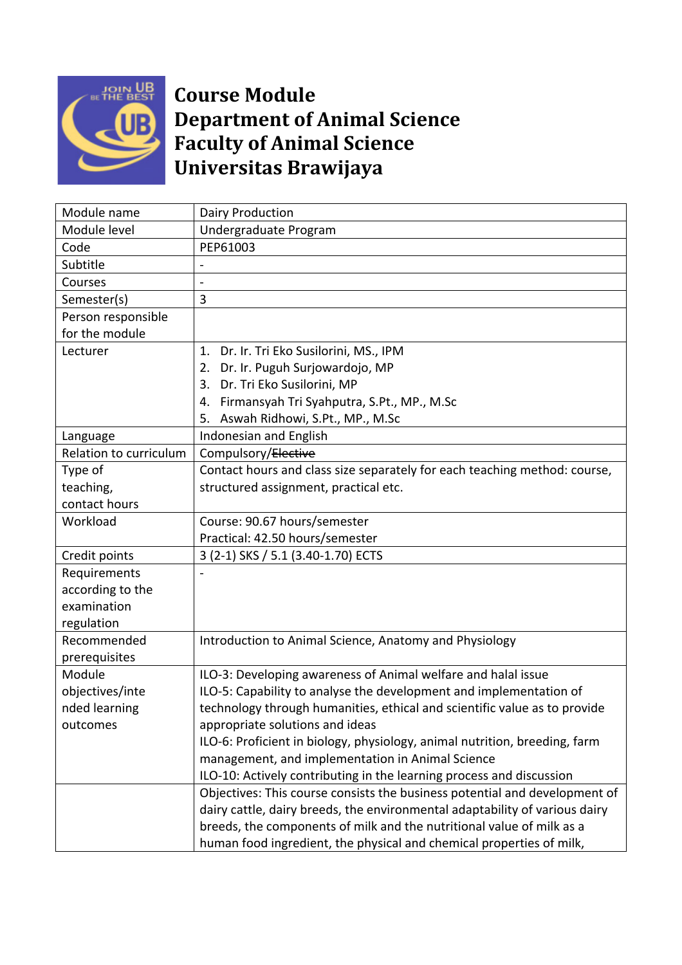

## **Course Module Department of Animal Science Faculty of Animal Science Universitas Brawijaya**

| Module name            | Dairy Production                                                            |  |  |
|------------------------|-----------------------------------------------------------------------------|--|--|
| Module level           | Undergraduate Program                                                       |  |  |
| Code                   | PEP61003                                                                    |  |  |
| Subtitle               |                                                                             |  |  |
| Courses                |                                                                             |  |  |
| Semester(s)            | 3                                                                           |  |  |
| Person responsible     |                                                                             |  |  |
| for the module         |                                                                             |  |  |
| Lecturer               | 1. Dr. Ir. Tri Eko Susilorini, MS., IPM                                     |  |  |
|                        | 2. Dr. Ir. Puguh Surjowardojo, MP                                           |  |  |
|                        | 3. Dr. Tri Eko Susilorini, MP                                               |  |  |
|                        | 4. Firmansyah Tri Syahputra, S.Pt., MP., M.Sc                               |  |  |
|                        | Aswah Ridhowi, S.Pt., MP., M.Sc<br>5.                                       |  |  |
| Language               | Indonesian and English                                                      |  |  |
| Relation to curriculum | Compulsory/Elective                                                         |  |  |
| Type of                | Contact hours and class size separately for each teaching method: course,   |  |  |
| teaching,              | structured assignment, practical etc.                                       |  |  |
| contact hours          |                                                                             |  |  |
| Workload               | Course: 90.67 hours/semester                                                |  |  |
|                        | Practical: 42.50 hours/semester                                             |  |  |
| Credit points          | 3 (2-1) SKS / 5.1 (3.40-1.70) ECTS                                          |  |  |
| Requirements           |                                                                             |  |  |
| according to the       |                                                                             |  |  |
| examination            |                                                                             |  |  |
| regulation             |                                                                             |  |  |
| Recommended            | Introduction to Animal Science, Anatomy and Physiology                      |  |  |
| prerequisites          |                                                                             |  |  |
| Module                 | ILO-3: Developing awareness of Animal welfare and halal issue               |  |  |
| objectives/inte        | ILO-5: Capability to analyse the development and implementation of          |  |  |
| nded learning          | technology through humanities, ethical and scientific value as to provide   |  |  |
| outcomes               | appropriate solutions and ideas                                             |  |  |
|                        | ILO-6: Proficient in biology, physiology, animal nutrition, breeding, farm  |  |  |
|                        | management, and implementation in Animal Science                            |  |  |
|                        | ILO-10: Actively contributing in the learning process and discussion        |  |  |
|                        | Objectives: This course consists the business potential and development of  |  |  |
|                        | dairy cattle, dairy breeds, the environmental adaptability of various dairy |  |  |
|                        | breeds, the components of milk and the nutritional value of milk as a       |  |  |
|                        | human food ingredient, the physical and chemical properties of milk,        |  |  |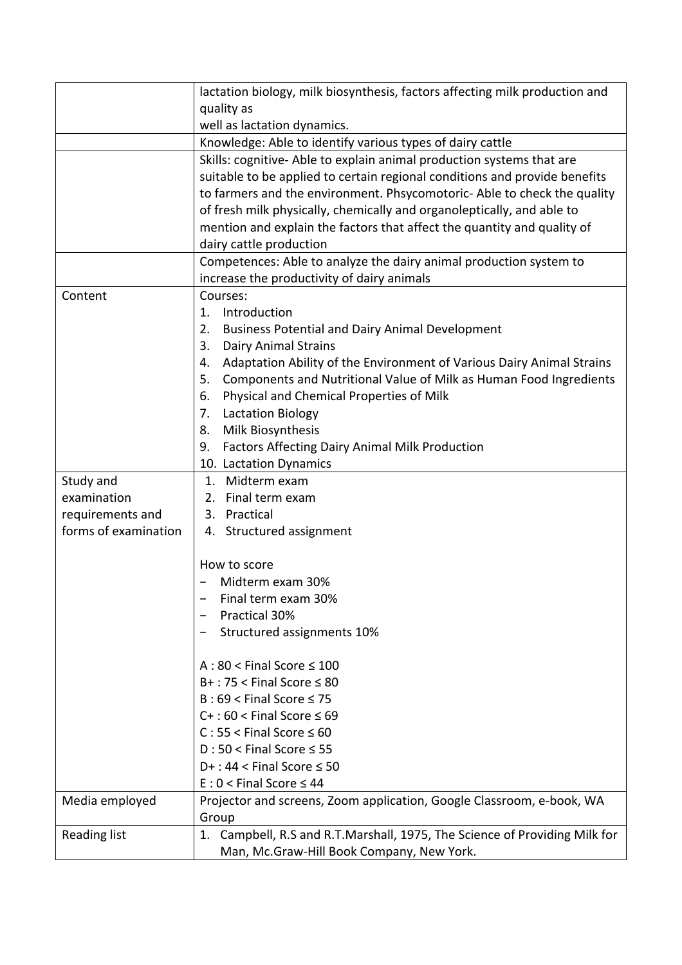|                      | lactation biology, milk biosynthesis, factors affecting milk production and                                                                            |  |  |  |
|----------------------|--------------------------------------------------------------------------------------------------------------------------------------------------------|--|--|--|
|                      | quality as                                                                                                                                             |  |  |  |
|                      | well as lactation dynamics.                                                                                                                            |  |  |  |
|                      | Knowledge: Able to identify various types of dairy cattle                                                                                              |  |  |  |
|                      | Skills: cognitive-Able to explain animal production systems that are                                                                                   |  |  |  |
|                      | suitable to be applied to certain regional conditions and provide benefits<br>to farmers and the environment. Phsycomotoric- Able to check the quality |  |  |  |
|                      |                                                                                                                                                        |  |  |  |
|                      | of fresh milk physically, chemically and organoleptically, and able to                                                                                 |  |  |  |
|                      | mention and explain the factors that affect the quantity and quality of                                                                                |  |  |  |
|                      | dairy cattle production                                                                                                                                |  |  |  |
|                      | Competences: Able to analyze the dairy animal production system to                                                                                     |  |  |  |
|                      | increase the productivity of dairy animals                                                                                                             |  |  |  |
| Content              | Courses:                                                                                                                                               |  |  |  |
|                      | Introduction<br>1.                                                                                                                                     |  |  |  |
|                      | 2.<br><b>Business Potential and Dairy Animal Development</b>                                                                                           |  |  |  |
|                      | <b>Dairy Animal Strains</b><br>3.                                                                                                                      |  |  |  |
|                      | Adaptation Ability of the Environment of Various Dairy Animal Strains<br>4.                                                                            |  |  |  |
|                      | Components and Nutritional Value of Milk as Human Food Ingredients<br>5.                                                                               |  |  |  |
|                      | Physical and Chemical Properties of Milk<br>6.                                                                                                         |  |  |  |
|                      | <b>Lactation Biology</b><br>7.                                                                                                                         |  |  |  |
|                      | Milk Biosynthesis<br>8.                                                                                                                                |  |  |  |
|                      | <b>Factors Affecting Dairy Animal Milk Production</b><br>9.                                                                                            |  |  |  |
|                      | 10. Lactation Dynamics                                                                                                                                 |  |  |  |
| Study and            | Midterm exam<br>1.                                                                                                                                     |  |  |  |
| examination          | 2. Final term exam                                                                                                                                     |  |  |  |
| requirements and     | 3. Practical                                                                                                                                           |  |  |  |
| forms of examination | 4. Structured assignment                                                                                                                               |  |  |  |
|                      |                                                                                                                                                        |  |  |  |
|                      | How to score                                                                                                                                           |  |  |  |
|                      | Midterm exam 30%                                                                                                                                       |  |  |  |
|                      | Final term exam 30%                                                                                                                                    |  |  |  |
|                      | Practical 30%                                                                                                                                          |  |  |  |
|                      | Structured assignments 10%                                                                                                                             |  |  |  |
|                      |                                                                                                                                                        |  |  |  |
|                      | $A:80 <$ Final Score $\leq 100$                                                                                                                        |  |  |  |
|                      | $B+$ : 75 < Final Score $\leq 80$                                                                                                                      |  |  |  |
|                      | $B:69 <$ Final Score $\leq 75$                                                                                                                         |  |  |  |
|                      | $C+$ : 60 < Final Score $\leq 69$                                                                                                                      |  |  |  |
|                      | $C: 55 <$ Final Score $\leq 60$                                                                                                                        |  |  |  |
|                      | $D:50 <$ Final Score $\leq 55$                                                                                                                         |  |  |  |
|                      | $D+$ : 44 < Final Score $\leq$ 50                                                                                                                      |  |  |  |
|                      | $E: 0 <$ Final Score $\leq 44$                                                                                                                         |  |  |  |
| Media employed       | Projector and screens, Zoom application, Google Classroom, e-book, WA                                                                                  |  |  |  |
|                      | Group                                                                                                                                                  |  |  |  |
| Reading list         | 1. Campbell, R.S and R.T.Marshall, 1975, The Science of Providing Milk for                                                                             |  |  |  |
|                      | Man, Mc.Graw-Hill Book Company, New York.                                                                                                              |  |  |  |